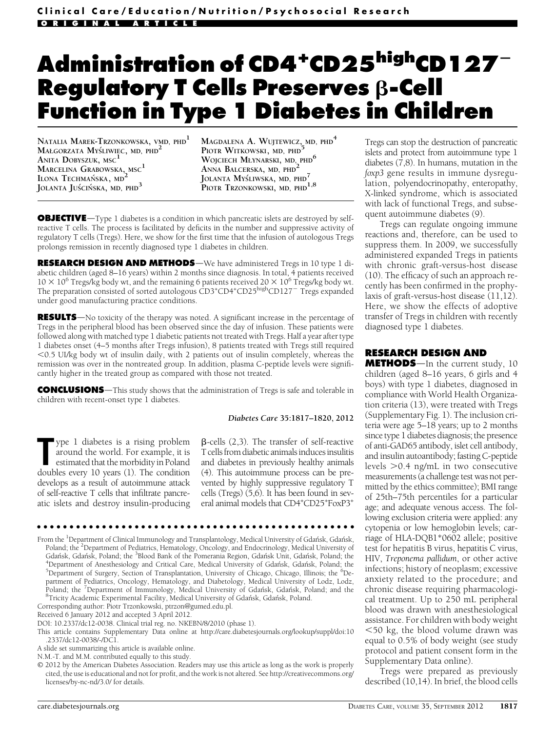# Administration of CD4<sup>+</sup>CD25<sup>high</sup>CD127<sup>-</sup> **Regulatory T Cells Preserves**  $\beta$ **-Cell** Function in Type 1 Diabetes in Children

NATALIA MAREK-TRZONKOWSKA, VMD, PHD<sup>1</sup> MAŁGORZATA MYŚLIWIĘC, MD, PHD<sup>2</sup> ANITA DOBYSZUK, MSC<sup>1</sup> MARCELINA GRABOWSKA, MSC<sup>1</sup> ILONA TECHMAŃSKA, MD<sup>2</sup> JOLANTA JUŚCIŃSKA, MD, PHD<sup>3</sup>

MAGDALENA A. WUJTEWICZ<sub>z</sub>MD, PHD<sup>4</sup> PIOTR WITKOWSKI, MD, PHD Wojciech Młynarski, md, phd $^6$ ANNA BALCERSKA, MD, PHD<sup>2</sup> JOLANTA MYŚLIWSKA, MD, PHD<sup>7</sup> PIOTR TRZONKOWSKI, MD, PHD<sup>1,8</sup>

**OBJECTIVE**—Type 1 diabetes is a condition in which pancreatic islets are destroyed by selfreactive T cells. The process is facilitated by deficits in the number and suppressive activity of regulatory T cells (Tregs). Here, we show for the first time that the infusion of autologous Tregs prolongs remission in recently diagnosed type 1 diabetes in children.

RESEARCH DESIGN AND METHODS-We have administered Tregs in 10 type 1 diabetic children (aged 8–16 years) within 2 months since diagnosis. In total, 4 patients received  $10 \times 10^6$  Tregs/kg body wt, and the remaining 6 patients received 20  $\times$  10<sup>6</sup> Tregs/kg body wt. The preparation consisted of sorted autologous CD3<sup>+</sup>CD4<sup>+</sup>CD25<sup>high</sup>CD127<sup>-</sup> Tregs expanded under good manufacturing practice conditions.

RESULTS-No toxicity of the therapy was noted. A significant increase in the percentage of Tregs in the peripheral blood has been observed since the day of infusion. These patients were followed along with matched type 1 diabetic patients not treated with Tregs. Half a year after type 1 diabetes onset (4–5 months after Tregs infusion), 8 patients treated with Tregs still required  $<$  0.5 UI/kg body wt of insulin daily, with 2 patients out of insulin completely, whereas the remission was over in the nontreated group. In addition, plasma C-peptide levels were significantly higher in the treated group as compared with those not treated.

**CONCLUSIONS**—This study shows that the administration of Tregs is safe and tolerable in children with recent-onset type 1 diabetes.

Diabetes Care 35:1817–1820, 2012

ype 1 diabetes is a rising problem<br>around the world. For example, it is<br>estimated that the morbidity in Poland<br>doubles every 10 years (1). The condition ype 1 diabetes is a rising problem around the world. For example, it is estimated that the morbidity in Poland develops as a result of autoimmune attack of self-reactive T cells that infiltrate pancreatic islets and destroy insulin-producing

 $\beta$ -cells (2,3). The transfer of self-reactive T cells from diabetic animals induces insulitis and diabetes in previously healthy animals (4). This autoimmune process can be prevented by highly suppressive regulatory T cells (Tregs) (5,6). It has been found in several animal models that CD4<sup>+</sup>CD25<sup>+</sup>FoxP3<sup>+</sup>

#### ccccccccccccccccccccccccccccccccccccccccccccccccc

From the <sup>1</sup>Department of Clinical Immunology and Transplantology, Medical University of Gdańsk, Gdańsk, Poland; the <sup>2</sup>Department of Pediatrics, Hematology, Oncology, and Endocrinology, Medical University of Gdańsk, Gdańsk, Poland; the <sup>3</sup>Blood Bank of the Pomerania Region, Gdańsk Unit, Gdańsk, Poland; the <sup>4</sup>Department of Angelberielow, and Critical Care, Medical University of Gdańsk, Cdańsk, Poland; the <sup>4</sup>Department of Anesthesiology and Critical Care, Medical University of Gdańsk, Gdańsk, Poland; the Department of Surgery, Section of Transplantation, University of Chicago, Chicago, Illinois; the <sup>6</sup>Department of Pediatrics, Oncology, Hematology, and Diabetology, Medical University of Lodz, Lodz, .<br>Poland; the <sup>7</sup>Department of Immunology, Medical University of Gdańsk, Gdańsk, Poland; and the<br><sup>8</sup>Tricity Academic Experimental Facility, Medical University of Gdańsk, Gdańsk, Poland.

Corresponding author: Piotr Trzonkowski, [ptrzon@gumed.edu.pl](mailto:ptrzon@gumed.edu.pl).

Received 6 January 2012 and accepted 3 April 2012.

DOI: 10.2337/dc12-0038. Clinical trial reg. no. NKEBN/8/2010 (phase 1).

This article contains Supplementary Data online at [http://care.diabetesjournals.org/lookup/suppl/doi:10](http://care.diabetesjournals.org/lookup/suppl/doi:10.2337/dc12-0038/-/DC1) [.2337/dc12-0038/-/DC1](http://care.diabetesjournals.org/lookup/suppl/doi:10.2337/dc12-0038/-/DC1).

A slide set summarizing this article is available online.

© 2012 by the American Diabetes Association. Readers may use this article as long as the work is properly cited, the use is educational and not for profit, and the work is not altered. See [http://creativecommons.org/](http://creativecommons.org/licenses/by-nc-nd/3.0/) [licenses/by-nc-nd/3.0/](http://creativecommons.org/licenses/by-nc-nd/3.0/) for details.

Tregs can stop the destruction of pancreatic islets and protect from autoimmune type 1 diabetes (7,8). In humans, mutation in the foxp3 gene results in immune dysregulation, polyendocrinopathy, enteropathy, X-linked syndrome, which is associated with lack of functional Tregs, and subsequent autoimmune diabetes (9).

Tregs can regulate ongoing immune reactions and, therefore, can be used to suppress them. In 2009, we successfully administered expanded Tregs in patients with chronic graft-versus-host disease (10). The efficacy of such an approach recently has been confirmed in the prophylaxis of graft-versus-host disease  $(11,12)$ . Here, we show the effects of adoptive transfer of Tregs in children with recently diagnosed type 1 diabetes.

## RESEARCH DESIGN AND

**METHODS**—In the current study, 10 children (aged 8–16 years, 6 girls and 4 boys) with type 1 diabetes, diagnosed in compliance with World Health Organization criteria (13), were treated with Tregs ([Supplementary Fig. 1](http://care.diabetesjournals.org/lookup/suppl/doi:10.2337/dc12-0038/-/DC1)). The inclusion criteria were age 5–18 years; up to 2 months since type 1 diabetes diagnosis; the presence of anti-GAD65 antibody, islet cell antibody, and insulin autoantibody; fasting C-peptide levels  $>0.4$  ng/mL in two consecutive measurements (a challenge test was not permitted by the ethics committee); BMI range of 25th–75th percentiles for a particular age; and adequate venous access. The following exclusion criteria were applied: any cytopenia or low hemoglobin levels; carriage of HLA-DQB1\*0602 allele; positive test for hepatitis B virus, hepatitis C virus, HIV, Treponema pallidum, or other active infections; history of neoplasm; excessive anxiety related to the procedure; and chronic disease requiring pharmacological treatment. Up to 250 mL peripheral blood was drawn with anesthesiological assistance. For children with body weight  $<$  50 kg, the blood volume drawn was equal to 0.5% of body weight (see study protocol and patient consent form in the Supplementary Data online).

Tregs were prepared as previously described (10,14). In brief, the blood cells

N.M.-T. and M.M. contributed equally to this study.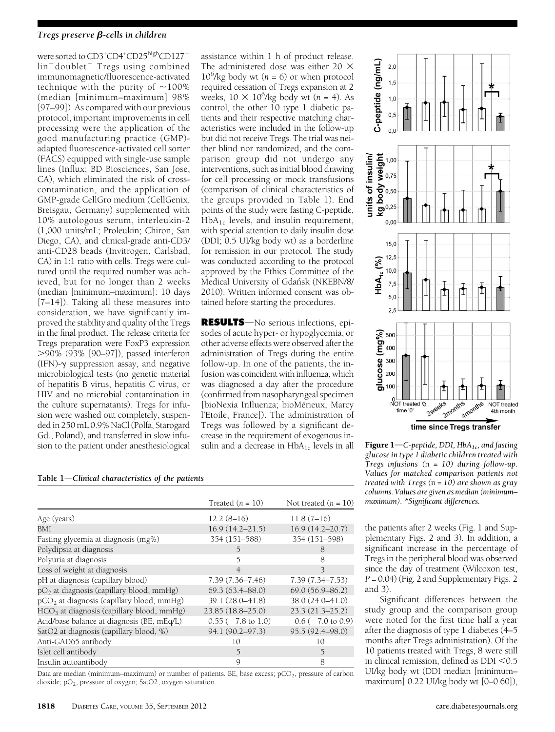### Tregs preserve  $\beta$ -cells in children

were sorted to CD3<sup>+</sup>CD4<sup>+</sup>CD25<sup>high</sup>CD127<sup>-1</sup> lin<sup>-</sup>doublet<sup>-</sup> Tregs using combined immunomagnetic/fluorescence-activated technique with the purity of  $\sim$ 100% (median [minimum–maximum] 98% [97–99]). As compared with our previous protocol, important improvements in cell processing were the application of the good manufacturing practice (GMP) adapted fluorescence-activated cell sorter (FACS) equipped with single-use sample lines (Influx; BD Biosciences, San Jose, CA), which eliminated the risk of crosscontamination, and the application of GMP-grade CellGro medium (CellGenix, Breisgau, Germany) supplemented with 10% autologous serum, interleukin-2 (1,000 units/mL; Proleukin; Chiron, San Diego, CA), and clinical-grade anti-CD3/ anti-CD28 beads (Invitrogen, Carlsbad, CA) in 1:1 ratio with cells. Tregs were cultured until the required number was achieved, but for no longer than 2 weeks (median [minimum–maximum]: 10 days [7–14]). Taking all these measures into consideration, we have significantly improved the stability and quality of the Tregs in the final product. The release criteria for Tregs preparation were FoxP3 expression .90% (93% [90–97]), passed interferon (IFN)- $\gamma$  suppression assay, and negative microbiological tests (no genetic material of hepatitis B virus, hepatitis C virus, or HIV and no microbial contamination in the culture supernatants). Tregs for infusion were washed out completely, suspended in 250 mL 0.9% NaCl (Polfa, Starogard Gd., Poland), and transferred in slow infusion to the patient under anesthesiological

assistance within 1 h of product release. The administered dose was either 20  $\times$  $10^6$ /kg body wt (n = 6) or when protocol required cessation of Tregs expansion at 2 weeks,  $10 \times 10^6$ /kg body wt  $(n = 4)$ . As control, the other 10 type 1 diabetic patients and their respective matching characteristics were included in the follow-up but did not receive Tregs. The trial was neither blind nor randomized, and the comparison group did not undergo any interventions, such as initial blood drawing for cell processing or mock transfusions (comparison of clinical characteristics of the groups provided in Table 1). End points of the study were fasting C-peptide,  $HbA_{1c}$  levels, and insulin requirement, with special attention to daily insulin dose (DDI; 0.5 UI/kg body wt) as a borderline for remission in our protocol. The study was conducted according to the protocol approved by the Ethics Committee of the Medical University of Gdansk (NKEBN/8/ 2010). Written informed consent was obtained before starting the procedures.

**RESULTS**-No serious infections, episodes of acute hyper- or hypoglycemia, or other adverse effects were observed after the administration of Tregs during the entire follow-up. In one of the patients, the infusion was coincident with influenza, which was diagnosed a day after the procedure (confirmed from nasopharyngeal specimen [bioNexia Influenza; bioMérieux, Marcy l'Etoile, France]). The administration of Tregs was followed by a significant decrease in the requirement of exogenous insulin and a decrease in  $HbA_{1c}$  levels in all

Table  $1$ -Clinical characteristics of the patients

|                                             | Treated $(n = 10)$       | Not treated $(n = 10)$  |
|---------------------------------------------|--------------------------|-------------------------|
| Age (years)                                 | $12.2(8-16)$             | $11.8(7-16)$            |
| <b>BMI</b>                                  | $16.9(14.2 - 21.5)$      | $16.9(14.2 - 20.7)$     |
| Fasting glycemia at diagnosis (mg%)         | 354 (151-588)            | 354 (151-598)           |
| Polydipsia at diagnosis                     | 5                        | 8                       |
| Polyuria at diagnosis                       | 5                        | 8                       |
| Loss of weight at diagnosis                 | $\overline{4}$           | 3                       |
| pH at diagnosis (capillary blood)           | $7.39(7.36 - 7.46)$      | $7.39(7.34 - 7.53)$     |
| $pO2$ at diagnosis (capillary blood, mmHg)  | $69.3(63.4 - 88.0)$      | $69.0(56.9 - 86.2)$     |
| $pCO2$ at diagnosis (capillary blood, mmHg) | 39.1 (28.0-41.8)         | 38.0 (24.0-41.0)        |
| $HCO3$ at diagnosis (capillary blood, mmHg) | 23.85 (18.8-25.0)        | $23.3(21.3 - 25.2)$     |
| Acid/base balance at diagnosis (BE, mEq/L)  | $-0.55$ ( $-7.8$ to 1.0) | $-0.6$ ( $-7.0$ to 0.9) |
| SatO2 at diagnosis (capillary blood, %)     | 94.1 (90.2-97.3)         | 95.5 (92.4-98.0)        |
| Anti-GAD65 antibody                         | 10                       | 10                      |
| Islet cell antibody                         | 5                        | 5                       |
| Insulin autoantibody                        | 9                        | 8                       |

Data are median (minimum–maximum) or number of patients. BE, base excess; pCO<sub>2</sub>, pressure of carbon dioxide; pO<sub>2</sub>, pressure of oxygen; SatO2, oxygen saturation.



Figure  $1-C$ -peptide, DDI, HbA<sub>1c</sub>, and fasting glucose in type 1 diabetic children treated with Tregs infusions (n = 10) during follow-up. Values for matched comparison patients not treated with Tregs  $(n = 10)$  are shown as gray columns. Values are given as median (minimum– maximum). \*Significant differences.

the patients after 2 weeks (Fig. 1 and [Sup](http://care.diabetesjournals.org/lookup/suppl/doi:10.2337/dc12-0038/-/DC1)[plementary Figs. 2 and 3\)](http://care.diabetesjournals.org/lookup/suppl/doi:10.2337/dc12-0038/-/DC1). In addition, a significant increase in the percentage of Tregs in the peripheral blood was observed since the day of treatment (Wilcoxon test,  $P = 0.04$ ) (Fig. 2 and [Supplementary Figs. 2](http://care.diabetesjournals.org/lookup/suppl/doi:10.2337/dc12-0038/-/DC1) [and 3](http://care.diabetesjournals.org/lookup/suppl/doi:10.2337/dc12-0038/-/DC1)).

Significant differences between the study group and the comparison group were noted for the first time half a year after the diagnosis of type 1 diabetes (4–5 months after Tregs administration). Of the 10 patients treated with Tregs, 8 were still in clinical remission, defined as  $DDI < 0.5$ UI/kg body wt (DDI median [minimum– maximum] 0.22 UI/kg body wt [0–0.60]),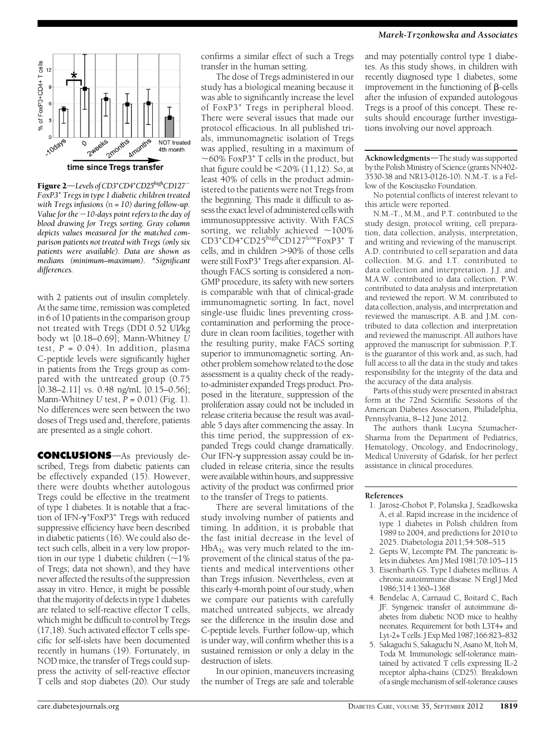

**Figure 2—**Levels of CD3†CD4†CD25<sup>high</sup>CD127<sup>—</sup><br>FoxP3† Tregs in type 1 dighetic children tregted FoxP3+ Tregs in type 1 diabetic children treated with Tregs infusions  $(n = 10)$  during follow-up. Value for the  $-10$ -days point refers to the day of blood drawing for Tregs sorting. Gray column depicts values measured for the matched comparison patients not treated with Tregs (only six patients were available). Data are shown as medians (minimum–maximum). \*Significant differences.

with 2 patients out of insulin completely. At the same time, remission was completed in 6 of 10 patients in the comparison group not treated with Tregs (DDI 0.52 UI/kg body wt [0.18–0.69]; Mann-Whitney U test,  $P = 0.04$ ). In addition, plasma C-peptide levels were significantly higher in patients from the Tregs group as compared with the untreated group (0.75 [0.38–2.11] vs. 0.48 ng/mL [0.15–0.56]; Mann-Whitney U test,  $P = 0.01$ ) (Fig. 1). No differences were seen between the two doses of Tregs used and, therefore, patients are presented as a single cohort.

**CONCLUSIONS**—As previously described, Tregs from diabetic patients can be effectively expanded (15). However, there were doubts whether autologous Tregs could be effective in the treatment of type 1 diabetes. It is notable that a fraction of IFN- $\gamma^+$ FoxP3<sup>+</sup> Tregs with reduced<br>suppressive efficiency have been described suppressive efficiency have been described in diabetic patients (16). We could also detect such cells, albeit in a very low proportion in our type 1 diabetic children  $(\sim1\%$ of Tregs; data not shown), and they have never affected the results of the suppression assay in vitro. Hence, it might be possible that the majority of defects in type 1 diabetes are related to self-reactive effector T cells, which might be difficult to control by Tregs (17,18). Such activated effector T cells specific for self-islets have been documented recently in humans (19). Fortunately, in NOD mice, the transfer of Tregs could suppress the activity of self-reactive effector T cells and stop diabetes (20). Our study

confirms a similar effect of such a Tregs transfer in the human setting.

The dose of Tregs administered in our study has a biological meaning because it was able to significantly increase the level of FoxP3<sup>+</sup> Tregs in peripheral blood. There were several issues that made our protocol efficacious. In all published trials, immunomagnetic isolation of Tregs was applied, resulting in a maximum of  $\sim$  60% FoxP3<sup>+</sup> T cells in the product, but that figure could be  $\leq$ 20% (11,12). So, at least 40% of cells in the product administered to the patients were not Tregs from the beginning. This made it difficult to assess the exact level of administered cells with immunosuppressive activity. With FACS<br>sorting, we reliably achieved  $\sim$ 100% sorting, we reliably achieved ~100%<br>CD3<sup>+</sup>CD4<sup>+</sup>CD25<sup>high</sup>CD127<sup>low</sup>FoxP3<sup>+</sup> T cells, and in children  $>90\%$  of those cells were still FoxP3<sup>+</sup> Tregs after expansion. Although FACS sorting is considered a non-GMP procedure, its safety with new sorters is comparable with that of clinical-grade immunomagnetic sorting. In fact, novel single-use fluidic lines preventing crosscontamination and performing the procedure in clean room facilities, together with the resulting purity, make FACS sorting superior to immunomagnetic sorting. Another problem somehow related to the dose assessment is a quality check of the readyto-administer expanded Tregs product. Proposed in the literature, suppression of the proliferation assay could not be included in release criteria because the result was available 5 days after commencing the assay. In this time period, the suppression of expanded Tregs could change dramatically. Our IFN- $\gamma$  suppression assay could be included in release criteria, since the results were available within hours, and suppressive activity of the product was confirmed prior to the transfer of Tregs to patients.

There are several limitations of the study involving number of patients and timing. In addition, it is probable that the fast initial decrease in the level of  $HbA_{1c}$  was very much related to the improvement of the clinical status of the patients and medical interventions other than Tregs infusion. Nevertheless, even at this early 4-month point of our study, when we compare our patients with carefully matched untreated subjects, we already see the difference in the insulin dose and C-peptide levels. Further follow-up, which is under way, will confirm whether this is a sustained remission or only a delay in the destruction of islets.

In our opinion, maneuvers increasing the number of Tregs are safe and tolerable

and may potentially control type 1 diabetes. As this study shows, in children with recently diagnosed type 1 diabetes, some improvement in the functioning of  $\beta$ -cells after the infusion of expanded autologous Tregs is a proof of this concept. These results should encourage further investigations involving our novel approach.

Acknowledgments-The study was supported by the Polish Ministry of Science (grants NN402- 3530-38 and NR13-0126-10). N.M.-T. is a Fellow of the Kosciuszko Foundation.

No potential conflicts of interest relevant to this article were reported.

N.M.-T., M.M., and P.T. contributed to the study design, protocol writing, cell preparation, data collection, analysis, interpretation, and writing and reviewing of the manuscript. A.D. contributed to cell separation and data collection. M.G. and I.T. contributed to data collection and interpretation. J.J. and M.A.W. contributed to data collection. P.W. contributed to data analysis and interpretation and reviewed the report. W.M. contributed to data collection, analysis, and interpretation and reviewed the manuscript. A.B. and J.M. contributed to data collection and interpretation and reviewed the manuscript. All authors have approved the manuscript for submission. P.T. is the guarantor of this work and, as such, had full access to all the data in the study and takes responsibility for the integrity of the data and the accuracy of the data analysis.

Parts of this study were presented in abstract form at the 72nd Scientific Sessions of the American Diabetes Association, Philadelphia, Pennsylvania, 8–12 June 2012.

The authors thank Lucyna Szumacher-Sharma from the Department of Pediatrics, Hematology, Oncology, and Endocrinology, Medical University of Gdansk, for her perfect assistance in clinical procedures.

#### References

- 1. Jarosz-Chobot P, Polanska J, Szadkowska A, et al. Rapid increase in the incidence of type 1 diabetes in Polish children from 1989 to 2004, and predictions for 2010 to 2025. Diabetologia 2011;54:508–515
- 2. Gepts W, Lecompte PM. The pancreatic islets in diabetes. Am J Med 1981;70:105–115
- 3. Eisenbarth GS. Type I diabetes mellitus. A chronic autoimmune disease. N Engl J Med 1986;314:1360–1368
- 4. Bendelac A, Carnaud C, Boitard C, Bach JF. Syngeneic transfer of autoimmune diabetes from diabetic NOD mice to healthy neonates. Requirement for both L3T4+ and Lyt-2+ T cells. J Exp Med 1987;166:823–832
- 5. Sakaguchi S, Sakaguchi N, Asano M, Itoh M, Toda M. Immunologic self-tolerance maintained by activated T cells expressing IL-2 receptor alpha-chains (CD25). Breakdown of a single mechanism of self-tolerance causes